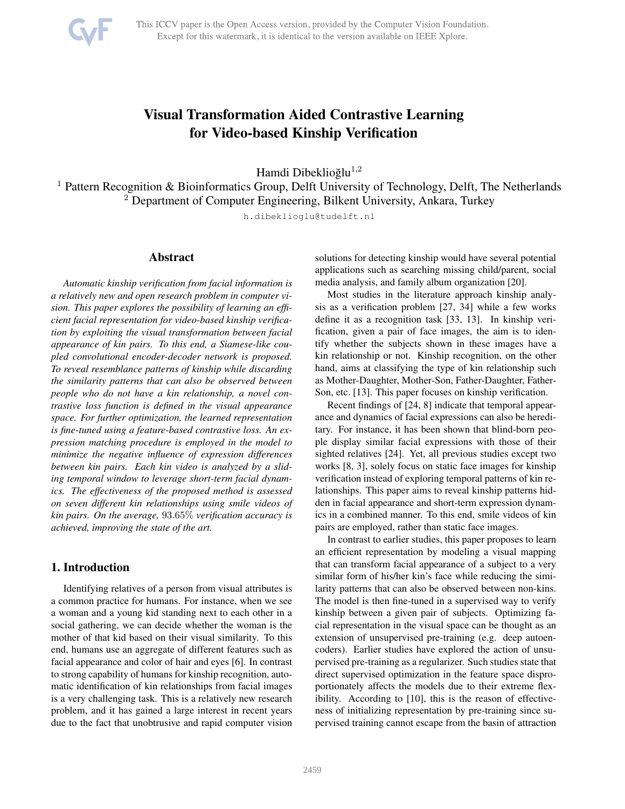

# Visual Transformation Aided Contrastive Learning for Video-based Kinship Verification

Hamdi Dibeklioğlu<sup>1,2</sup>

<sup>1</sup> Pattern Recognition & Bioinformatics Group, Delft University of Technology, Delft, The Netherlands <sup>2</sup> Department of Computer Engineering, Bilkent University, Ankara, Turkey

h.dibeklioglu@tudelft.nl

## Abstract

*Automatic kinship verification from facial information is a relatively new and open research problem in computer vision. This paper explores the possibility of learning an efficient facial representation for video-based kinship verification by exploiting the visual transformation between facial appearance of kin pairs. To this end, a Siamese-like coupled convolutional encoder-decoder network is proposed. To reveal resemblance patterns of kinship while discarding the similarity patterns that can also be observed between people who do not have a kin relationship, a novel contrastive loss function is defined in the visual appearance space. For further optimization, the learned representation is fine-tuned using a feature-based contrastive loss. An expression matching procedure is employed in the model to minimize the negative influence of expression differences between kin pairs. Each kin video is analyzed by a sliding temporal window to leverage short-term facial dynamics. The effectiveness of the proposed method is assessed on seven different kin relationships using smile videos of kin pairs. On the average,* 93.65% *verification accuracy is achieved, improving the state of the art.*

# 1. Introduction

Identifying relatives of a person from visual attributes is a common practice for humans. For instance, when we see a woman and a young kid standing next to each other in a social gathering, we can decide whether the woman is the mother of that kid based on their visual similarity. To this end, humans use an aggregate of different features such as facial appearance and color of hair and eyes [6]. In contrast to strong capability of humans for kinship recognition, automatic identification of kin relationships from facial images is a very challenging task. This is a relatively new research problem, and it has gained a large interest in recent years due to the fact that unobtrusive and rapid computer vision

solutions for detecting kinship would have several potential applications such as searching missing child/parent, social media analysis, and family album organization [20].

Most studies in the literature approach kinship analysis as a verification problem [27, 34] while a few works define it as a recognition task [33, 13]. In kinship verification, given a pair of face images, the aim is to identify whether the subjects shown in these images have a kin relationship or not. Kinship recognition, on the other hand, aims at classifying the type of kin relationship such as Mother-Daughter, Mother-Son, Father-Daughter, Father-Son, etc. [13]. This paper focuses on kinship verification.

Recent findings of [24, 8] indicate that temporal appearance and dynamics of facial expressions can also be hereditary. For instance, it has been shown that blind-born people display similar facial expressions with those of their sighted relatives [24]. Yet, all previous studies except two works [8, 3], solely focus on static face images for kinship verification instead of exploring temporal patterns of kin relationships. This paper aims to reveal kinship patterns hidden in facial appearance and short-term expression dynamics in a combined manner. To this end, smile videos of kin pairs are employed, rather than static face images.

In contrast to earlier studies, this paper proposes to learn an efficient representation by modeling a visual mapping that can transform facial appearance of a subject to a very similar form of his/her kin's face while reducing the similarity patterns that can also be observed between non-kins. The model is then fine-tuned in a supervised way to verify kinship between a given pair of subjects. Optimizing facial representation in the visual space can be thought as an extension of unsupervised pre-training (e.g. deep autoencoders). Earlier studies have explored the action of unsupervised pre-training as a regularizer. Such studies state that direct supervised optimization in the feature space disproportionately affects the models due to their extreme flexibility. According to [10], this is the reason of effectiveness of initializing representation by pre-training since supervised training cannot escape from the basin of attraction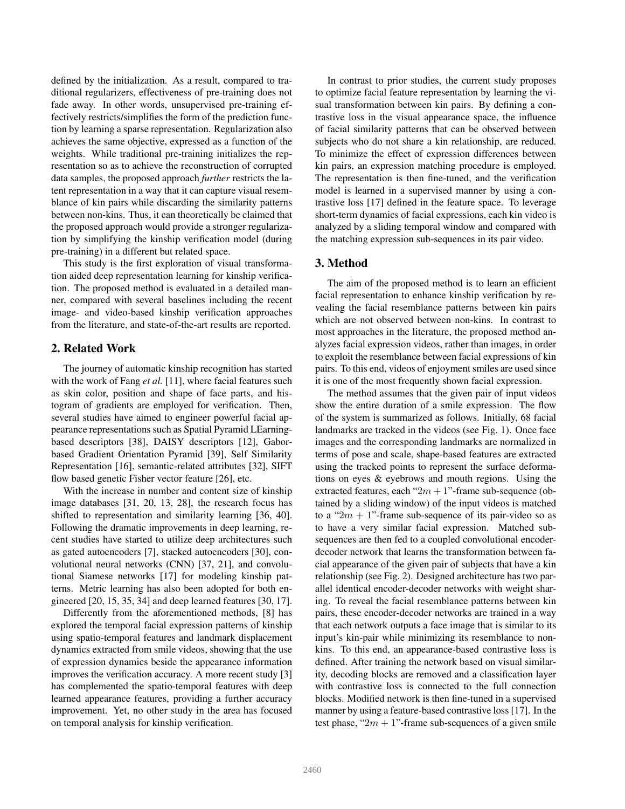defined by the initialization. As a result, compared to traditional regularizers, effectiveness of pre-training does not fade away. In other words, unsupervised pre-training effectively restricts/simplifies the form of the prediction function by learning a sparse representation. Regularization also achieves the same objective, expressed as a function of the weights. While traditional pre-training initializes the representation so as to achieve the reconstruction of corrupted data samples, the proposed approach *further* restricts the latent representation in a way that it can capture visual resemblance of kin pairs while discarding the similarity patterns between non-kins. Thus, it can theoretically be claimed that the proposed approach would provide a stronger regularization by simplifying the kinship verification model (during pre-training) in a different but related space.

This study is the first exploration of visual transformation aided deep representation learning for kinship verification. The proposed method is evaluated in a detailed manner, compared with several baselines including the recent image- and video-based kinship verification approaches from the literature, and state-of-the-art results are reported.

# 2. Related Work

The journey of automatic kinship recognition has started with the work of Fang *et al.* [11], where facial features such as skin color, position and shape of face parts, and histogram of gradients are employed for verification. Then, several studies have aimed to engineer powerful facial appearance representations such as Spatial Pyramid LEarningbased descriptors [38], DAISY descriptors [12], Gaborbased Gradient Orientation Pyramid [39], Self Similarity Representation [16], semantic-related attributes [32], SIFT flow based genetic Fisher vector feature [26], etc.

With the increase in number and content size of kinship image databases [31, 20, 13, 28], the research focus has shifted to representation and similarity learning [36, 40]. Following the dramatic improvements in deep learning, recent studies have started to utilize deep architectures such as gated autoencoders [7], stacked autoencoders [30], convolutional neural networks (CNN) [37, 21], and convolutional Siamese networks [17] for modeling kinship patterns. Metric learning has also been adopted for both engineered [20, 15, 35, 34] and deep learned features [30, 17].

Differently from the aforementioned methods, [8] has explored the temporal facial expression patterns of kinship using spatio-temporal features and landmark displacement dynamics extracted from smile videos, showing that the use of expression dynamics beside the appearance information improves the verification accuracy. A more recent study [3] has complemented the spatio-temporal features with deep learned appearance features, providing a further accuracy improvement. Yet, no other study in the area has focused on temporal analysis for kinship verification.

In contrast to prior studies, the current study proposes to optimize facial feature representation by learning the visual transformation between kin pairs. By defining a contrastive loss in the visual appearance space, the influence of facial similarity patterns that can be observed between subjects who do not share a kin relationship, are reduced. To minimize the effect of expression differences between kin pairs, an expression matching procedure is employed. The representation is then fine-tuned, and the verification model is learned in a supervised manner by using a contrastive loss [17] defined in the feature space. To leverage short-term dynamics of facial expressions, each kin video is analyzed by a sliding temporal window and compared with the matching expression sub-sequences in its pair video.

# 3. Method

The aim of the proposed method is to learn an efficient facial representation to enhance kinship verification by revealing the facial resemblance patterns between kin pairs which are not observed between non-kins. In contrast to most approaches in the literature, the proposed method analyzes facial expression videos, rather than images, in order to exploit the resemblance between facial expressions of kin pairs. To this end, videos of enjoyment smiles are used since it is one of the most frequently shown facial expression.

The method assumes that the given pair of input videos show the entire duration of a smile expression. The flow of the system is summarized as follows. Initially, 68 facial landmarks are tracked in the videos (see Fig. 1). Once face images and the corresponding landmarks are normalized in terms of pose and scale, shape-based features are extracted using the tracked points to represent the surface deformations on eyes & eyebrows and mouth regions. Using the extracted features, each " $2m + 1$ "-frame sub-sequence (obtained by a sliding window) of the input videos is matched to a " $2m + 1$ "-frame sub-sequence of its pair-video so as to have a very similar facial expression. Matched subsequences are then fed to a coupled convolutional encoderdecoder network that learns the transformation between facial appearance of the given pair of subjects that have a kin relationship (see Fig. 2). Designed architecture has two parallel identical encoder-decoder networks with weight sharing. To reveal the facial resemblance patterns between kin pairs, these encoder-decoder networks are trained in a way that each network outputs a face image that is similar to its input's kin-pair while minimizing its resemblance to nonkins. To this end, an appearance-based contrastive loss is defined. After training the network based on visual similarity, decoding blocks are removed and a classification layer with contrastive loss is connected to the full connection blocks. Modified network is then fine-tuned in a supervised manner by using a feature-based contrastive loss [17]. In the test phase, " $2m + 1$ "-frame sub-sequences of a given smile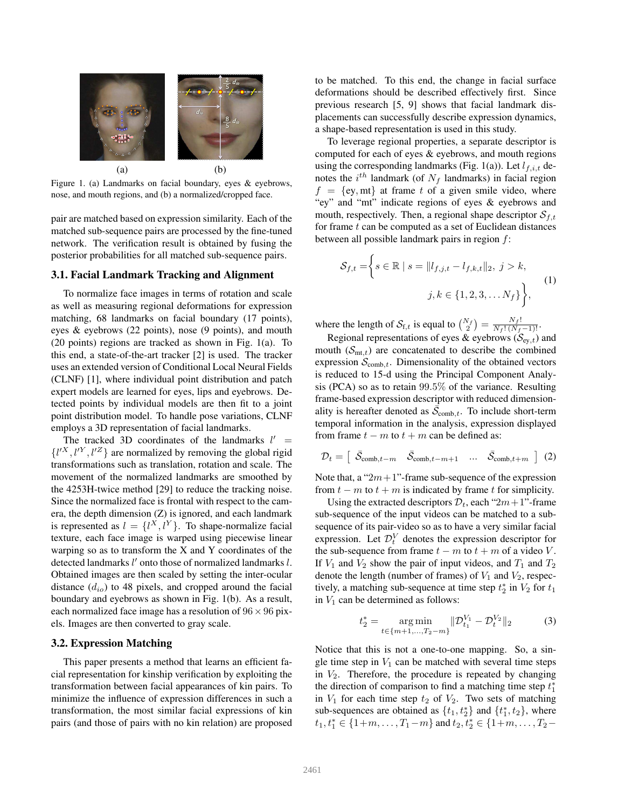

Figure 1. (a) Landmarks on facial boundary, eyes & eyebrows, nose, and mouth regions, and (b) a normalized/cropped face.

pair are matched based on expression similarity. Each of the matched sub-sequence pairs are processed by the fine-tuned network. The verification result is obtained by fusing the posterior probabilities for all matched sub-sequence pairs.

### 3.1. Facial Landmark Tracking and Alignment

To normalize face images in terms of rotation and scale as well as measuring regional deformations for expression matching, 68 landmarks on facial boundary (17 points), eyes & eyebrows (22 points), nose (9 points), and mouth (20 points) regions are tracked as shown in Fig. 1(a). To this end, a state-of-the-art tracker [2] is used. The tracker uses an extended version of Conditional Local Neural Fields (CLNF) [1], where individual point distribution and patch expert models are learned for eyes, lips and eyebrows. Detected points by individual models are then fit to a joint point distribution model. To handle pose variations, CLNF employs a 3D representation of facial landmarks.

The tracked 3D coordinates of the landmarks  $l' =$  $\{l^{\prime X}, l^{\prime Y}, l^{\prime Z}\}$  are normalized by removing the global rigid transformations such as translation, rotation and scale. The movement of the normalized landmarks are smoothed by the 4253H-twice method [29] to reduce the tracking noise. Since the normalized face is frontal with respect to the camera, the depth dimension (Z) is ignored, and each landmark is represented as  $l = \{l^X, l^Y\}$ . To shape-normalize facial texture, each face image is warped using piecewise linear warping so as to transform the X and Y coordinates of the detected landmarks l'onto those of normalized landmarks l. Obtained images are then scaled by setting the inter-ocular distance  $(d_{io})$  to 48 pixels, and cropped around the facial boundary and eyebrows as shown in Fig. 1(b). As a result, each normalized face image has a resolution of  $96 \times 96$  pixels. Images are then converted to gray scale.

### 3.2. Expression Matching

This paper presents a method that learns an efficient facial representation for kinship verification by exploiting the transformation between facial appearances of kin pairs. To minimize the influence of expression differences in such a transformation, the most similar facial expressions of kin pairs (and those of pairs with no kin relation) are proposed to be matched. To this end, the change in facial surface deformations should be described effectively first. Since previous research [5, 9] shows that facial landmark displacements can successfully describe expression dynamics, a shape-based representation is used in this study.

To leverage regional properties, a separate descriptor is computed for each of eyes & eyebrows, and mouth regions using the corresponding landmarks (Fig. 1(a)). Let  $l_{f,i,t}$  denotes the  $i^{th}$  landmark (of  $N_f$  landmarks) in facial region  $f = \{ey, mt\}$  at frame t of a given smile video, where "ey" and "mt" indicate regions of eyes & eyebrows and mouth, respectively. Then, a regional shape descriptor  $S_{f,t}$ for frame  $t$  can be computed as a set of Euclidean distances between all possible landmark pairs in region  $f$ :

$$
S_{f,t} = \left\{ s \in \mathbb{R} \mid s = ||l_{f,j,t} - l_{f,k,t}||_2, \ j > k, j, k \in \{1, 2, 3, \dots N_f\} \right\},
$$
 (1)

where the length of  $S_{f,t}$  is equal to  $\binom{N_f}{2} = \frac{N_f!}{N_f! (N_f-1)!}$ .

Regional representations of eyes & eyebrows ( $\mathcal{S}_{ey,t}$ ) and mouth  $(S_{mt,t})$  are concatenated to describe the combined expression  $S_{\text{comb},t}$ . Dimensionality of the obtained vectors is reduced to 15-d using the Principal Component Analysis (PCA) so as to retain 99.5% of the variance. Resulting frame-based expression descriptor with reduced dimensionality is hereafter denoted as  $\bar{S}_{\text{comb},t}$ . To include short-term temporal information in the analysis, expression displayed from frame  $t - m$  to  $t + m$  can be defined as:

$$
\mathcal{D}_t = \left[ \begin{array}{cc} \bar{\mathcal{S}}_{\text{comb},t-m} & \bar{\mathcal{S}}_{\text{comb},t-m+1} & \dots & \bar{\mathcal{S}}_{\text{comb},t+m} \end{array} \right] (2)
$$

Note that, a " $2m+1$ "-frame sub-sequence of the expression from  $t - m$  to  $t + m$  is indicated by frame t for simplicity.

Using the extracted descriptors  $\mathcal{D}_t$ , each "2m + 1"-frame sub-sequence of the input videos can be matched to a subsequence of its pair-video so as to have a very similar facial expression. Let  $\mathcal{D}_{t}^{V}$  denotes the expression descriptor for the sub-sequence from frame  $t - m$  to  $t + m$  of a video V. If  $V_1$  and  $V_2$  show the pair of input videos, and  $T_1$  and  $T_2$ denote the length (number of frames) of  $V_1$  and  $V_2$ , respectively, a matching sub-sequence at time step  $t_2^*$  in  $V_2$  for  $t_1$ in  $V_1$  can be determined as follows:

$$
t_2^* = \underset{t \in \{m+1, \dots, T_2 - m\}}{\arg \min} ||\mathcal{D}_{t_1}^{V_1} - \mathcal{D}_t^{V_2}||_2 \tag{3}
$$

Notice that this is not a one-to-one mapping. So, a single time step in  $V_1$  can be matched with several time steps in  $V_2$ . Therefore, the procedure is repeated by changing the direction of comparison to find a matching time step  $t_1^*$ in  $V_1$  for each time step  $t_2$  of  $V_2$ . Two sets of matching sub-sequences are obtained as  $\{t_1, t_2^*\}$  and  $\{t_1^*, t_2\}$ , where  $t_1, t_1^* \in \{1+m, \ldots, T_1-m\}$  and  $t_2, t_2^* \in \{1+m, \ldots, T_2-m\}$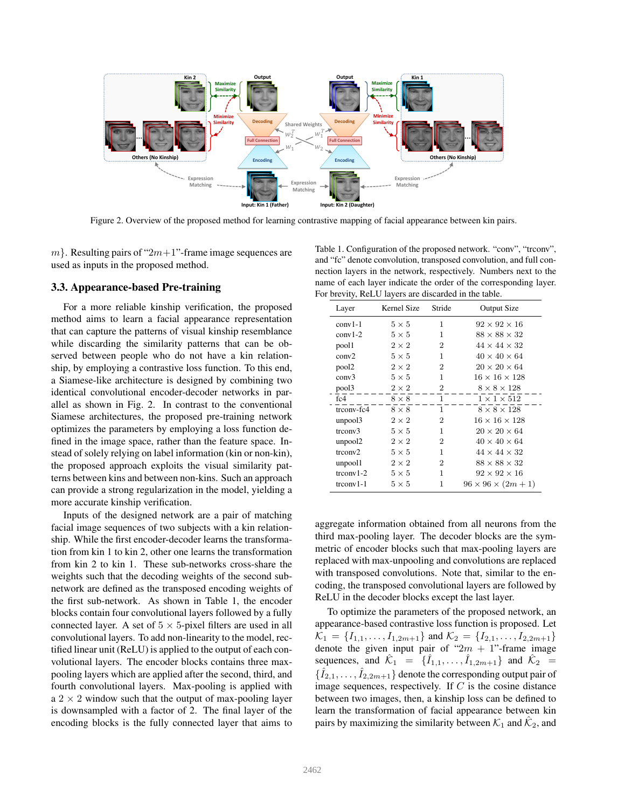

Figure 2. Overview of the proposed method for learning contrastive mapping of facial appearance between kin pairs.

 $m$ . Resulting pairs of "2 $m+1$ "-frame image sequences are used as inputs in the proposed method.

#### 3.3. Appearance-based Pre-training

For a more reliable kinship verification, the proposed method aims to learn a facial appearance representation that can capture the patterns of visual kinship resemblance while discarding the similarity patterns that can be observed between people who do not have a kin relationship, by employing a contrastive loss function. To this end, a Siamese-like architecture is designed by combining two identical convolutional encoder-decoder networks in parallel as shown in Fig. 2. In contrast to the conventional Siamese architectures, the proposed pre-training network optimizes the parameters by employing a loss function defined in the image space, rather than the feature space. Instead of solely relying on label information (kin or non-kin), the proposed approach exploits the visual similarity patterns between kins and between non-kins. Such an approach can provide a strong regularization in the model, yielding a more accurate kinship verification.

Inputs of the designed network are a pair of matching facial image sequences of two subjects with a kin relationship. While the first encoder-decoder learns the transformation from kin 1 to kin 2, other one learns the transformation from kin 2 to kin 1. These sub-networks cross-share the weights such that the decoding weights of the second subnetwork are defined as the transposed encoding weights of the first sub-network. As shown in Table 1, the encoder blocks contain four convolutional layers followed by a fully connected layer. A set of  $5 \times 5$ -pixel filters are used in all convolutional layers. To add non-linearity to the model, rectified linear unit (ReLU) is applied to the output of each convolutional layers. The encoder blocks contains three maxpooling layers which are applied after the second, third, and fourth convolutional layers. Max-pooling is applied with  $a$  2  $\times$  2 window such that the output of max-pooling layer is downsampled with a factor of 2. The final layer of the encoding blocks is the fully connected layer that aims to

Table 1. Configuration of the proposed network. "conv", "trconv", and "fc" denote convolution, transposed convolution, and full connection layers in the network, respectively. Numbers next to the name of each layer indicate the order of the corresponding layer. For brevity, ReLU layers are discarded in the table.

| Layer               | Kernel Size  | Stride         | Output Size                    |
|---------------------|--------------|----------------|--------------------------------|
| $conv1-1$           | $5 \times 5$ | 1              | $92 \times 92 \times 16$       |
| $conv1-2$           | $5 \times 5$ | 1              | $88 \times 88 \times 32$       |
| pool1               | $2\times 2$  | $\overline{2}$ | $44 \times 44 \times 32$       |
| conv2               | $5 \times 5$ | 1              | $40 \times 40 \times 64$       |
| pool <sub>2</sub>   | $2\times 2$  | $\overline{2}$ | $20 \times 20 \times 64$       |
| conv3               | $5 \times 5$ | 1              | $16 \times 16 \times 128$      |
| pool3               | $2\times 2$  | $\overline{2}$ | $8 \times 8 \times 128$        |
| fc4                 | $8 \times 8$ | $\mathbf{1}$   | $1 \times 1 \times 512$        |
| trconv-fc4          | $8 \times 8$ | 1              | $8 \times 8 \times 128$        |
| unpool3             | $2\times 2$  | $\overline{2}$ | $16 \times 16 \times 128$      |
| trconv3             | $5 \times 5$ | 1              | $20 \times 20 \times 64$       |
| unpool2             | $2\times 2$  | $\overline{2}$ | $40 \times 40 \times 64$       |
| trconv <sub>2</sub> | $5 \times 5$ | $\mathbf{1}$   | $44 \times 44 \times 32$       |
| unpool1             | $2\times 2$  | 2              | $88 \times 88 \times 32$       |
| $t$ rconv $1-2$     | $5 \times 5$ | 1              | $92 \times 92 \times 16$       |
| $t$ rconv $1-1$     | $5 \times 5$ | 1              | $96 \times 96 \times (2m + 1)$ |

aggregate information obtained from all neurons from the third max-pooling layer. The decoder blocks are the symmetric of encoder blocks such that max-pooling layers are replaced with max-unpooling and convolutions are replaced with transposed convolutions. Note that, similar to the encoding, the transposed convolutional layers are followed by ReLU in the decoder blocks except the last layer.

To optimize the parameters of the proposed network, an appearance-based contrastive loss function is proposed. Let  $\mathcal{K}_1 = \{I_{1,1}, \ldots, I_{1,2m+1}\}\$  and  $\mathcal{K}_2 = \{I_{2,1}, \ldots, I_{2,2m+1}\}\$ denote the given input pair of " $2m + 1$ "-frame image sequences, and  $\hat{\mathcal{K}}_1 = {\hat{\{I}}_{1,1}, \dots, \hat{I}_{1,2m+1}\}$  and  $\hat{\mathcal{K}}_2 =$  $\{\hat{I}_{2,1},\ldots,\hat{I}_{2,2m+1}\}$  denote the corresponding output pair of image sequences, respectively. If  $C$  is the cosine distance between two images, then, a kinship loss can be defined to learn the transformation of facial appearance between kin pairs by maximizing the similarity between  $\mathcal{K}_1$  and  $\hat{\mathcal{K}}_2$ , and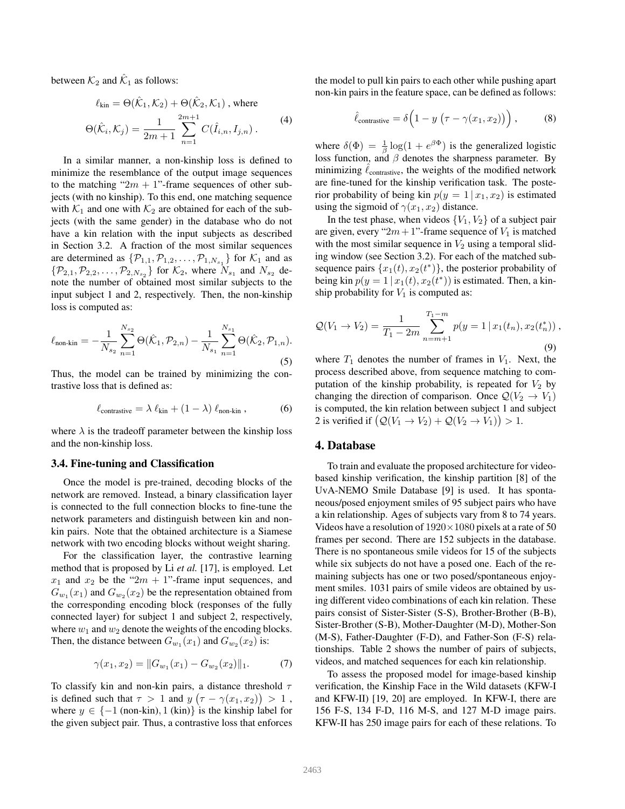between  $\mathcal{K}_2$  and  $\hat{\mathcal{K}}_1$  as follows:

$$
\ell_{\text{kin}} = \Theta(\hat{K}_1, K_2) + \Theta(\hat{K}_2, K_1), \text{ where}
$$

$$
\Theta(\hat{K}_i, K_j) = \frac{1}{2m+1} \sum_{n=1}^{2m+1} C(\hat{I}_{i,n}, I_{j,n}). \tag{4}
$$

In a similar manner, a non-kinship loss is defined to minimize the resemblance of the output image sequences to the matching " $2m + 1$ "-frame sequences of other subjects (with no kinship). To this end, one matching sequence with  $\mathcal{K}_1$  and one with  $\mathcal{K}_2$  are obtained for each of the subjects (with the same gender) in the database who do not have a kin relation with the input subjects as described in Section 3.2. A fraction of the most similar sequences are determined as  $\{P_{1,1}, P_{1,2}, \ldots, P_{1,N_{s_1}}\}$  for  $\mathcal{K}_1$  and as  $\{P_{2,1}, P_{2,2}, \ldots, P_{2,N_{s_2}}\}$  for  $\mathcal{K}_2$ , where  $N_{s_1}$  and  $N_{s_2}$  denote the number of obtained most similar subjects to the input subject 1 and 2, respectively. Then, the non-kinship loss is computed as:

$$
\ell_{\text{non-kin}} = -\frac{1}{N_{s_2}} \sum_{n=1}^{N_{s_2}} \Theta(\hat{K}_1, \mathcal{P}_{2,n}) - \frac{1}{N_{s_1}} \sum_{n=1}^{N_{s_1}} \Theta(\hat{K}_2, \mathcal{P}_{1,n}).
$$
\n(5)

Thus, the model can be trained by minimizing the contrastive loss that is defined as:

$$
\ell_{\text{contrastive}} = \lambda \ell_{\text{kin}} + (1 - \lambda) \ell_{\text{non-kin}} ,\qquad (6)
$$

where  $\lambda$  is the tradeoff parameter between the kinship loss and the non-kinship loss.

### 3.4. Fine-tuning and Classification

Once the model is pre-trained, decoding blocks of the network are removed. Instead, a binary classification layer is connected to the full connection blocks to fine-tune the network parameters and distinguish between kin and nonkin pairs. Note that the obtained architecture is a Siamese network with two encoding blocks without weight sharing.

For the classification layer, the contrastive learning method that is proposed by Li *et al.* [17], is employed. Let  $x_1$  and  $x_2$  be the "2m + 1"-frame input sequences, and  $G_{w_1}(x_1)$  and  $G_{w_2}(x_2)$  be the representation obtained from the corresponding encoding block (responses of the fully connected layer) for subject 1 and subject 2, respectively, where  $w_1$  and  $w_2$  denote the weights of the encoding blocks. Then, the distance between  $G_{w_1}(x_1)$  and  $G_{w_2}(x_2)$  is:

$$
\gamma(x_1, x_2) = ||G_{w_1}(x_1) - G_{w_2}(x_2)||_1. \tag{7}
$$

To classify kin and non-kin pairs, a distance threshold  $\tau$ is defined such that  $\tau > 1$  and  $y(\tau - \gamma(x_1, x_2)) > 1$ , where  $y \in \{-1 \text{ (non-kin)}, 1 \text{ (kin)}\}$  is the kinship label for the given subject pair. Thus, a contrastive loss that enforces the model to pull kin pairs to each other while pushing apart non-kin pairs in the feature space, can be defined as follows:

$$
\hat{\ell}_{\text{contrastive}} = \delta \Big( 1 - y \left( \tau - \gamma(x_1, x_2) \right) \Big), \tag{8}
$$

where  $\delta(\Phi) = \frac{1}{\beta} \log(1 + e^{\beta \Phi})$  is the generalized logistic loss function, and  $\beta$  denotes the sharpness parameter. By minimizing  $\ell_{\text{contrastive}}$ , the weights of the modified network are fine-tuned for the kinship verification task. The posterior probability of being kin  $p(y = 1 | x_1, x_2)$  is estimated using the sigmoid of  $\gamma(x_1, x_2)$  distance.

In the test phase, when videos  ${V_1, V_2}$  of a subject pair are given, every " $2m + 1$ "-frame sequence of  $V_1$  is matched with the most similar sequence in  $V_2$  using a temporal sliding window (see Section 3.2). For each of the matched subsequence pairs  $\{x_1(t), x_2(t^*)\}$ , the posterior probability of being kin  $p(y = 1 | x_1(t), x_2(t^*))$  is estimated. Then, a kinship probability for  $V_1$  is computed as:

$$
Q(V_1 \to V_2) = \frac{1}{T_1 - 2m} \sum_{n=m+1}^{T_1 - m} p(y = 1 | x_1(t_n), x_2(t_n^*)) ,
$$
\n(9)

where  $T_1$  denotes the number of frames in  $V_1$ . Next, the process described above, from sequence matching to computation of the kinship probability, is repeated for  $V_2$  by changing the direction of comparison. Once  $\mathcal{Q}(V_2 \rightarrow V_1)$ is computed, the kin relation between subject 1 and subject 2 is verified if  $(Q(V_1 \rightarrow V_2) + Q(V_2 \rightarrow V_1)) > 1$ .

## 4. Database

To train and evaluate the proposed architecture for videobased kinship verification, the kinship partition [8] of the UvA-NEMO Smile Database [9] is used. It has spontaneous/posed enjoyment smiles of 95 subject pairs who have a kin relationship. Ages of subjects vary from 8 to 74 years. Videos have a resolution of  $1920 \times 1080$  pixels at a rate of 50 frames per second. There are 152 subjects in the database. There is no spontaneous smile videos for 15 of the subjects while six subjects do not have a posed one. Each of the remaining subjects has one or two posed/spontaneous enjoyment smiles. 1031 pairs of smile videos are obtained by using different video combinations of each kin relation. These pairs consist of Sister-Sister (S-S), Brother-Brother (B-B), Sister-Brother (S-B), Mother-Daughter (M-D), Mother-Son (M-S), Father-Daughter (F-D), and Father-Son (F-S) relationships. Table 2 shows the number of pairs of subjects, videos, and matched sequences for each kin relationship.

To assess the proposed model for image-based kinship verification, the Kinship Face in the Wild datasets (KFW-I and KFW-II) [19, 20] are employed. In KFW-I, there are 156 F-S, 134 F-D, 116 M-S, and 127 M-D image pairs. KFW-II has 250 image pairs for each of these relations. To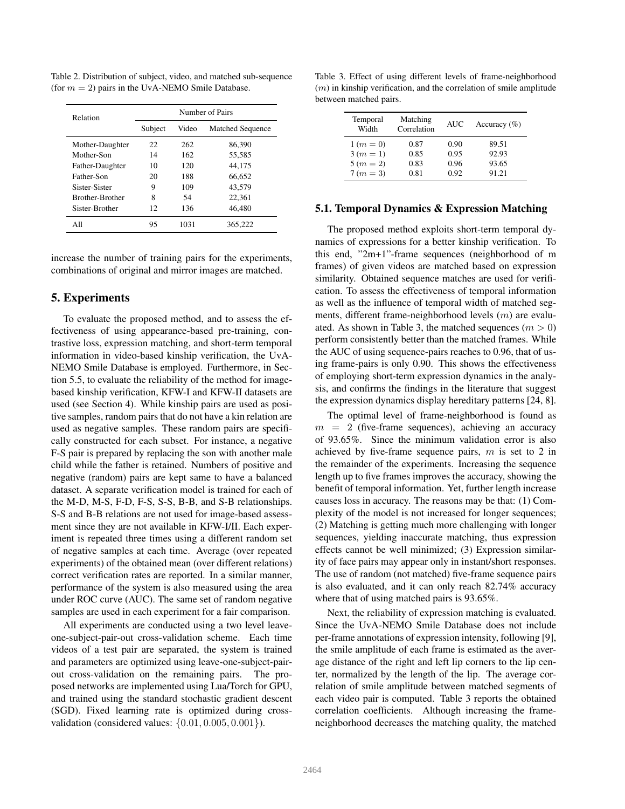Table 2. Distribution of subject, video, and matched sub-sequence (for  $m = 2$ ) pairs in the UvA-NEMO Smile Database.

| Relation               | Number of Pairs |       |                  |  |  |
|------------------------|-----------------|-------|------------------|--|--|
|                        | Subject         | Video | Matched Sequence |  |  |
| Mother-Daughter        | 22.             | 262   | 86.390           |  |  |
| Mother-Son             | 14              | 162   | 55,585           |  |  |
| Father-Daughter        | 10              | 120   | 44.175           |  |  |
| Father-Son             | 20              | 188   | 66.652           |  |  |
| Sister-Sister          | 9               | 109   | 43.579           |  |  |
| <b>Brother-Brother</b> | 8               | 54    | 22.361           |  |  |
| Sister-Brother         | 12              | 136   | 46,480           |  |  |
| A11                    | 95              | 1031  | 365,222          |  |  |

increase the number of training pairs for the experiments, combinations of original and mirror images are matched.

# 5. Experiments

To evaluate the proposed method, and to assess the effectiveness of using appearance-based pre-training, contrastive loss, expression matching, and short-term temporal information in video-based kinship verification, the UvA-NEMO Smile Database is employed. Furthermore, in Section 5.5, to evaluate the reliability of the method for imagebased kinship verification, KFW-I and KFW-II datasets are used (see Section 4). While kinship pairs are used as positive samples, random pairs that do not have a kin relation are used as negative samples. These random pairs are specifically constructed for each subset. For instance, a negative F-S pair is prepared by replacing the son with another male child while the father is retained. Numbers of positive and negative (random) pairs are kept same to have a balanced dataset. A separate verification model is trained for each of the M-D, M-S, F-D, F-S, S-S, B-B, and S-B relationships. S-S and B-B relations are not used for image-based assessment since they are not available in KFW-I/II. Each experiment is repeated three times using a different random set of negative samples at each time. Average (over repeated experiments) of the obtained mean (over different relations) correct verification rates are reported. In a similar manner, performance of the system is also measured using the area under ROC curve (AUC). The same set of random negative samples are used in each experiment for a fair comparison.

All experiments are conducted using a two level leaveone-subject-pair-out cross-validation scheme. Each time videos of a test pair are separated, the system is trained and parameters are optimized using leave-one-subject-pairout cross-validation on the remaining pairs. The proposed networks are implemented using Lua/Torch for GPU, and trained using the standard stochastic gradient descent (SGD). Fixed learning rate is optimized during crossvalidation (considered values: {0.01, 0.005, 0.001}).

Table 3. Effect of using different levels of frame-neighborhood  $(m)$  in kinship verification, and the correlation of smile amplitude between matched pairs.

| Temporal<br>Width | Matching<br>Correlation | <b>AUC</b> | Accuracy $(\% )$ |
|-------------------|-------------------------|------------|------------------|
| $1(m=0)$          | 0.87                    | 0.90       | 89.51            |
| $3(m=1)$          | 0.85                    | 0.95       | 92.93            |
| $5(m=2)$          | 0.83                    | 0.96       | 93.65            |
| $7 (m = 3)$       | 0.81                    | 0.92       | 91.21            |

## 5.1. Temporal Dynamics & Expression Matching

The proposed method exploits short-term temporal dynamics of expressions for a better kinship verification. To this end, "2m+1"-frame sequences (neighborhood of m frames) of given videos are matched based on expression similarity. Obtained sequence matches are used for verification. To assess the effectiveness of temporal information as well as the influence of temporal width of matched segments, different frame-neighborhood levels (m) are evaluated. As shown in Table 3, the matched sequences  $(m > 0)$ perform consistently better than the matched frames. While the AUC of using sequence-pairs reaches to 0.96, that of using frame-pairs is only 0.90. This shows the effectiveness of employing short-term expression dynamics in the analysis, and confirms the findings in the literature that suggest the expression dynamics display hereditary patterns [24, 8].

The optimal level of frame-neighborhood is found as  $m = 2$  (five-frame sequences), achieving an accuracy of 93.65%. Since the minimum validation error is also achieved by five-frame sequence pairs,  $m$  is set to 2 in the remainder of the experiments. Increasing the sequence length up to five frames improves the accuracy, showing the benefit of temporal information. Yet, further length increase causes loss in accuracy. The reasons may be that: (1) Complexity of the model is not increased for longer sequences; (2) Matching is getting much more challenging with longer sequences, yielding inaccurate matching, thus expression effects cannot be well minimized; (3) Expression similarity of face pairs may appear only in instant/short responses. The use of random (not matched) five-frame sequence pairs is also evaluated, and it can only reach 82.74% accuracy where that of using matched pairs is 93.65%.

Next, the reliability of expression matching is evaluated. Since the UvA-NEMO Smile Database does not include per-frame annotations of expression intensity, following [9], the smile amplitude of each frame is estimated as the average distance of the right and left lip corners to the lip center, normalized by the length of the lip. The average correlation of smile amplitude between matched segments of each video pair is computed. Table 3 reports the obtained correlation coefficients. Although increasing the frameneighborhood decreases the matching quality, the matched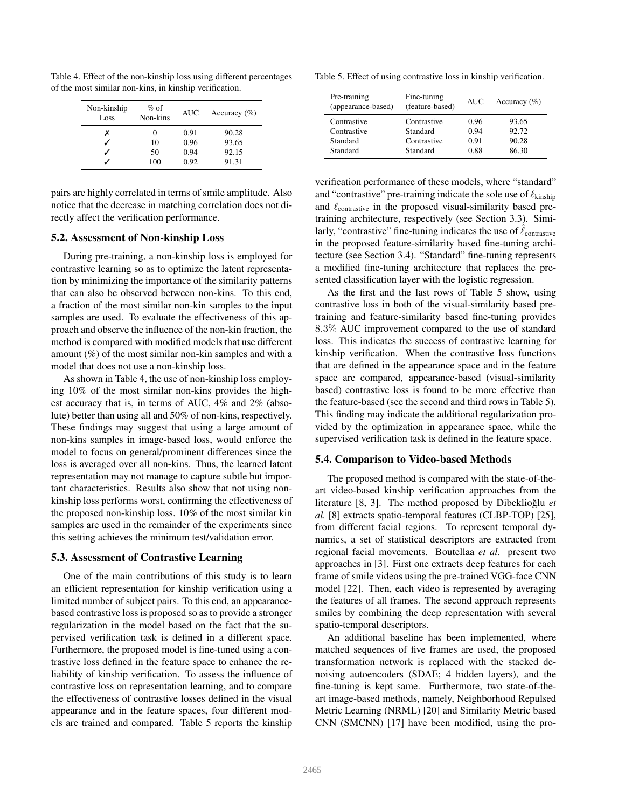Table 4. Effect of the non-kinship loss using different percentages of the most similar non-kins, in kinship verification.

| Non-kinship<br>Loss | $%$ of<br>Non-kins | AUC  | Accuracy $(\% )$ |
|---------------------|--------------------|------|------------------|
|                     | 0                  | 0.91 | 90.28            |
|                     | 10                 | 0.96 | 93.65            |
|                     | 50                 | 0.94 | 92.15            |
|                     | 100                | 0.92 | 91.31            |

pairs are highly correlated in terms of smile amplitude. Also notice that the decrease in matching correlation does not directly affect the verification performance.

## 5.2. Assessment of Non-kinship Loss

During pre-training, a non-kinship loss is employed for contrastive learning so as to optimize the latent representation by minimizing the importance of the similarity patterns that can also be observed between non-kins. To this end, a fraction of the most similar non-kin samples to the input samples are used. To evaluate the effectiveness of this approach and observe the influence of the non-kin fraction, the method is compared with modified models that use different amount  $(\%)$  of the most similar non-kin samples and with a model that does not use a non-kinship loss.

As shown in Table 4, the use of non-kinship loss employing 10% of the most similar non-kins provides the highest accuracy that is, in terms of AUC, 4% and 2% (absolute) better than using all and 50% of non-kins, respectively. These findings may suggest that using a large amount of non-kins samples in image-based loss, would enforce the model to focus on general/prominent differences since the loss is averaged over all non-kins. Thus, the learned latent representation may not manage to capture subtle but important characteristics. Results also show that not using nonkinship loss performs worst, confirming the effectiveness of the proposed non-kinship loss. 10% of the most similar kin samples are used in the remainder of the experiments since this setting achieves the minimum test/validation error.

#### 5.3. Assessment of Contrastive Learning

One of the main contributions of this study is to learn an efficient representation for kinship verification using a limited number of subject pairs. To this end, an appearancebased contrastive loss is proposed so as to provide a stronger regularization in the model based on the fact that the supervised verification task is defined in a different space. Furthermore, the proposed model is fine-tuned using a contrastive loss defined in the feature space to enhance the reliability of kinship verification. To assess the influence of contrastive loss on representation learning, and to compare the effectiveness of contrastive losses defined in the visual appearance and in the feature spaces, four different models are trained and compared. Table 5 reports the kinship

Table 5. Effect of using contrastive loss in kinship verification.

| Pre-training<br>(appearance-based) | Fine-tuning<br>(feature-based) | AUC  | Accuracy $(\% )$ |
|------------------------------------|--------------------------------|------|------------------|
| Contrastive                        | Contrastive                    | 0.96 | 93.65            |
| Contrastive                        | Standard                       | 0.94 | 92.72            |
| Standard                           | Contrastive                    | 0.91 | 90.28            |
| Standard                           | Standard                       | 0.88 | 86.30            |

verification performance of these models, where "standard" and "contrastive" pre-training indicate the sole use of  $\ell_{\text{kinship}}$ and  $\ell_{\text{contrastive}}$  in the proposed visual-similarity based pretraining architecture, respectively (see Section 3.3). Similarly, "contrastive" fine-tuning indicates the use of  $\ell_{\text{contrastive}}$ in the proposed feature-similarity based fine-tuning architecture (see Section 3.4). "Standard" fine-tuning represents a modified fine-tuning architecture that replaces the presented classification layer with the logistic regression.

As the first and the last rows of Table 5 show, using contrastive loss in both of the visual-similarity based pretraining and feature-similarity based fine-tuning provides 8.3% AUC improvement compared to the use of standard loss. This indicates the success of contrastive learning for kinship verification. When the contrastive loss functions that are defined in the appearance space and in the feature space are compared, appearance-based (visual-similarity based) contrastive loss is found to be more effective than the feature-based (see the second and third rows in Table 5). This finding may indicate the additional regularization provided by the optimization in appearance space, while the supervised verification task is defined in the feature space.

#### 5.4. Comparison to Video-based Methods

The proposed method is compared with the state-of-theart video-based kinship verification approaches from the literature [8, 3]. The method proposed by Dibeklioğlu et *al.* [8] extracts spatio-temporal features (CLBP-TOP) [25], from different facial regions. To represent temporal dynamics, a set of statistical descriptors are extracted from regional facial movements. Boutellaa *et al.* present two approaches in [3]. First one extracts deep features for each frame of smile videos using the pre-trained VGG-face CNN model [22]. Then, each video is represented by averaging the features of all frames. The second approach represents smiles by combining the deep representation with several spatio-temporal descriptors.

An additional baseline has been implemented, where matched sequences of five frames are used, the proposed transformation network is replaced with the stacked denoising autoencoders (SDAE; 4 hidden layers), and the fine-tuning is kept same. Furthermore, two state-of-theart image-based methods, namely, Neighborhood Repulsed Metric Learning (NRML) [20] and Similarity Metric based CNN (SMCNN) [17] have been modified, using the pro-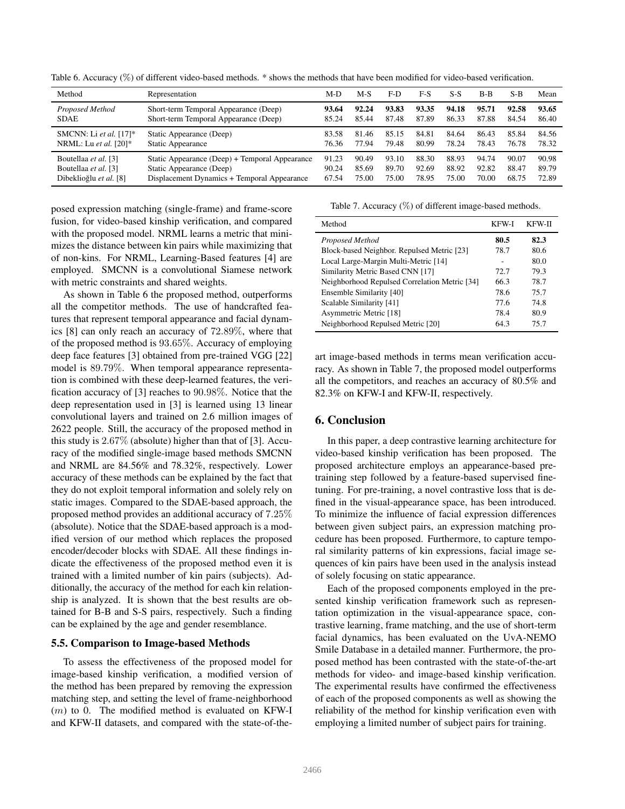| Method                 | Representation                                 | M-D   | $M-S$ | F-D   | $F-S$ | $S-S$ | B-B   | S-B   | Mean  |
|------------------------|------------------------------------------------|-------|-------|-------|-------|-------|-------|-------|-------|
| Proposed Method        | Short-term Temporal Appearance (Deep)          | 93.64 | 92.24 | 93.83 | 93.35 | 94.18 | 95.71 | 92.58 | 93.65 |
| <b>SDAE</b>            | Short-term Temporal Appearance (Deep)          | 85.24 | 85.44 | 87.48 | 87.89 | 86.33 | 87.88 | 84.54 | 86.40 |
| SMCNN: Li et al. [17]* | Static Appearance (Deep)                       | 83.58 | 81.46 | 85.15 | 84.81 | 84.64 | 86.43 | 85.84 | 84.56 |
| NRML: Lu et al. [20]*  | <b>Static Appearance</b>                       | 76.36 | 77.94 | 79.48 | 80.99 | 78.24 | 78.43 | 76.78 | 78.32 |
| Boutellaa et al. [3]   | Static Appearance (Deep) + Temporal Appearance | 91.23 | 90.49 | 93.10 | 88.30 | 88.93 | 94.74 | 90.07 | 90.98 |
| Boutellaa et al. [3]   | Static Appearance (Deep)                       | 90.24 | 85.69 | 89.70 | 92.69 | 88.92 | 92.82 | 88.47 | 89.79 |
| Dibeklioğlu et al. [8] | Displacement Dynamics + Temporal Appearance    | 67.54 | 75.00 | 75.00 | 78.95 | 75.00 | 70.00 | 68.75 | 72.89 |

Table 6. Accuracy (%) of different video-based methods. \* shows the methods that have been modified for video-based verification.

posed expression matching (single-frame) and frame-score fusion, for video-based kinship verification, and compared with the proposed model. NRML learns a metric that minimizes the distance between kin pairs while maximizing that of non-kins. For NRML, Learning-Based features [4] are employed. SMCNN is a convolutional Siamese network with metric constraints and shared weights.

As shown in Table 6 the proposed method, outperforms all the competitor methods. The use of handcrafted features that represent temporal appearance and facial dynamics [8] can only reach an accuracy of 72.89%, where that of the proposed method is 93.65%. Accuracy of employing deep face features [3] obtained from pre-trained VGG [22] model is 89.79%. When temporal appearance representation is combined with these deep-learned features, the verification accuracy of [3] reaches to 90.98%. Notice that the deep representation used in [3] is learned using 13 linear convolutional layers and trained on 2.6 million images of 2622 people. Still, the accuracy of the proposed method in this study is 2.67% (absolute) higher than that of [3]. Accuracy of the modified single-image based methods SMCNN and NRML are 84.56% and 78.32%, respectively. Lower accuracy of these methods can be explained by the fact that they do not exploit temporal information and solely rely on static images. Compared to the SDAE-based approach, the proposed method provides an additional accuracy of 7.25% (absolute). Notice that the SDAE-based approach is a modified version of our method which replaces the proposed encoder/decoder blocks with SDAE. All these findings indicate the effectiveness of the proposed method even it is trained with a limited number of kin pairs (subjects). Additionally, the accuracy of the method for each kin relationship is analyzed. It is shown that the best results are obtained for B-B and S-S pairs, respectively. Such a finding can be explained by the age and gender resemblance.

## 5.5. Comparison to Image-based Methods

To assess the effectiveness of the proposed model for image-based kinship verification, a modified version of the method has been prepared by removing the expression matching step, and setting the level of frame-neighborhood  $(m)$  to 0. The modified method is evaluated on KFW-I and KFW-II datasets, and compared with the state-of-the-

Table 7. Accuracy (%) of different image-based methods.

| Method                                        | KFW-I | KFW-II |
|-----------------------------------------------|-------|--------|
| Proposed Method                               | 80.5  | 82.3   |
| Block-based Neighbor. Repulsed Metric [23]    | 78.7  | 80.6   |
| Local Large-Margin Multi-Metric [14]          |       | 80.0   |
| Similarity Metric Based CNN [17]              | 72.7  | 79.3   |
| Neighborhood Repulsed Correlation Metric [34] | 66.3  | 78.7   |
| <b>Ensemble Similarity [40]</b>               | 78.6  | 75.7   |
| Scalable Similarity [41]                      | 77.6  | 74.8   |
| Asymmetric Metric [18]                        | 78.4  | 80.9   |
| Neighborhood Repulsed Metric [20]             | 64.3  | 75.7   |

art image-based methods in terms mean verification accuracy. As shown in Table 7, the proposed model outperforms all the competitors, and reaches an accuracy of 80.5% and 82.3% on KFW-I and KFW-II, respectively.

## 6. Conclusion

In this paper, a deep contrastive learning architecture for video-based kinship verification has been proposed. The proposed architecture employs an appearance-based pretraining step followed by a feature-based supervised finetuning. For pre-training, a novel contrastive loss that is defined in the visual-appearance space, has been introduced. To minimize the influence of facial expression differences between given subject pairs, an expression matching procedure has been proposed. Furthermore, to capture temporal similarity patterns of kin expressions, facial image sequences of kin pairs have been used in the analysis instead of solely focusing on static appearance.

Each of the proposed components employed in the presented kinship verification framework such as representation optimization in the visual-appearance space, contrastive learning, frame matching, and the use of short-term facial dynamics, has been evaluated on the UvA-NEMO Smile Database in a detailed manner. Furthermore, the proposed method has been contrasted with the state-of-the-art methods for video- and image-based kinship verification. The experimental results have confirmed the effectiveness of each of the proposed components as well as showing the reliability of the method for kinship verification even with employing a limited number of subject pairs for training.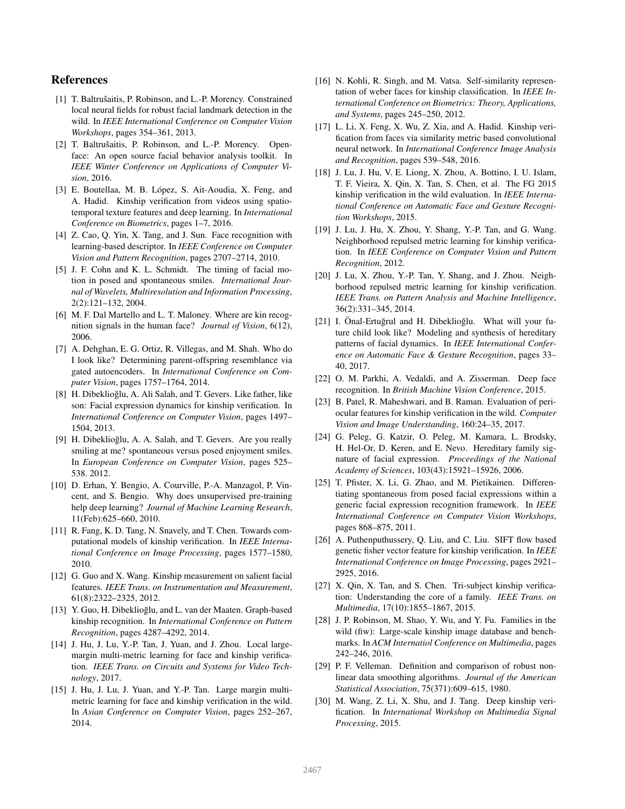# References

- [1] T. Baltrušaitis, P. Robinson, and L.-P. Morency. Constrained local neural fields for robust facial landmark detection in the wild. In *IEEE International Conference on Computer Vision Workshops*, pages 354–361, 2013.
- [2] T. Baltrušaitis, P. Robinson, and L.-P. Morency. Openface: An open source facial behavior analysis toolkit. In *IEEE Winter Conference on Applications of Computer Vision*, 2016.
- [3] E. Boutellaa, M. B. López, S. Ait-Aoudia, X. Feng, and A. Hadid. Kinship verification from videos using spatiotemporal texture features and deep learning. In *International Conference on Biometrics*, pages 1–7, 2016.
- [4] Z. Cao, Q. Yin, X. Tang, and J. Sun. Face recognition with learning-based descriptor. In *IEEE Conference on Computer Vision and Pattern Recognition*, pages 2707–2714, 2010.
- [5] J. F. Cohn and K. L. Schmidt. The timing of facial motion in posed and spontaneous smiles. *International Journal of Wavelets, Multiresolution and Information Processing*, 2(2):121–132, 2004.
- [6] M. F. Dal Martello and L. T. Maloney. Where are kin recognition signals in the human face? *Journal of Vision*, 6(12), 2006.
- [7] A. Dehghan, E. G. Ortiz, R. Villegas, and M. Shah. Who do I look like? Determining parent-offspring resemblance via gated autoencoders. In *International Conference on Computer Vision*, pages 1757–1764, 2014.
- [8] H. Dibeklioğlu, A. Ali Salah, and T. Gevers. Like father, like son: Facial expression dynamics for kinship verification. In *International Conference on Computer Vision*, pages 1497– 1504, 2013.
- [9] H. Dibeklioğlu, A. A. Salah, and T. Gevers. Are you really smiling at me? spontaneous versus posed enjoyment smiles. In *European Conference on Computer Vision*, pages 525– 538. 2012.
- [10] D. Erhan, Y. Bengio, A. Courville, P.-A. Manzagol, P. Vincent, and S. Bengio. Why does unsupervised pre-training help deep learning? *Journal of Machine Learning Research*, 11(Feb):625–660, 2010.
- [11] R. Fang, K. D. Tang, N. Snavely, and T. Chen. Towards computational models of kinship verification. In *IEEE International Conference on Image Processing*, pages 1577–1580, 2010.
- [12] G. Guo and X. Wang. Kinship measurement on salient facial features. *IEEE Trans. on Instrumentation and Measurement*, 61(8):2322–2325, 2012.
- [13] Y. Guo, H. Dibeklioğlu, and L. van der Maaten. Graph-based kinship recognition. In *International Conference on Pattern Recognition*, pages 4287–4292, 2014.
- [14] J. Hu, J. Lu, Y.-P. Tan, J. Yuan, and J. Zhou. Local largemargin multi-metric learning for face and kinship verification. *IEEE Trans. on Circuits and Systems for Video Technology*, 2017.
- [15] J. Hu, J. Lu, J. Yuan, and Y.-P. Tan. Large margin multimetric learning for face and kinship verification in the wild. In *Asian Conference on Computer Vision*, pages 252–267, 2014.
- [16] N. Kohli, R. Singh, and M. Vatsa. Self-similarity representation of weber faces for kinship classification. In *IEEE International Conference on Biometrics: Theory, Applications, and Systems*, pages 245–250, 2012.
- [17] L. Li, X. Feng, X. Wu, Z. Xia, and A. Hadid. Kinship verification from faces via similarity metric based convolutional neural network. In *International Conference Image Analysis and Recognition*, pages 539–548, 2016.
- [18] J. Lu, J. Hu, V. E. Liong, X. Zhou, A. Bottino, I. U. Islam, T. F. Vieira, X. Qin, X. Tan, S. Chen, et al. The FG 2015 kinship verification in the wild evaluation. In *IEEE International Conference on Automatic Face and Gesture Recognition Workshops*, 2015.
- [19] J. Lu, J. Hu, X. Zhou, Y. Shang, Y.-P. Tan, and G. Wang. Neighborhood repulsed metric learning for kinship verification. In *IEEE Conference on Computer Vision and Pattern Recognition*, 2012.
- [20] J. Lu, X. Zhou, Y.-P. Tan, Y. Shang, and J. Zhou. Neighborhood repulsed metric learning for kinship verification. *IEEE Trans. on Pattern Analysis and Machine Intelligence*, 36(2):331–345, 2014.
- [21] I. Önal-Ertuğrul and H. Dibeklioğlu. What will your future child look like? Modeling and synthesis of hereditary patterns of facial dynamics. In *IEEE International Conference on Automatic Face & Gesture Recognition*, pages 33– 40, 2017.
- [22] O. M. Parkhi, A. Vedaldi, and A. Zisserman. Deep face recognition. In *British Machine Vision Conference*, 2015.
- [23] B. Patel, R. Maheshwari, and B. Raman. Evaluation of periocular features for kinship verification in the wild. *Computer Vision and Image Understanding*, 160:24–35, 2017.
- [24] G. Peleg, G. Katzir, O. Peleg, M. Kamara, L. Brodsky, H. Hel-Or, D. Keren, and E. Nevo. Hereditary family signature of facial expression. *Proceedings of the National Academy of Sciences*, 103(43):15921–15926, 2006.
- [25] T. Pfister, X. Li, G. Zhao, and M. Pietikainen. Differentiating spontaneous from posed facial expressions within a generic facial expression recognition framework. In *IEEE International Conference on Computer Vision Workshops*, pages 868–875, 2011.
- [26] A. Puthenputhussery, Q. Liu, and C. Liu. SIFT flow based genetic fisher vector feature for kinship verification. In *IEEE International Conference on Image Processing*, pages 2921– 2925, 2016.
- [27] X. Qin, X. Tan, and S. Chen. Tri-subject kinship verification: Understanding the core of a family. *IEEE Trans. on Multimedia*, 17(10):1855–1867, 2015.
- [28] J. P. Robinson, M. Shao, Y. Wu, and Y. Fu. Families in the wild (fiw): Large-scale kinship image database and benchmarks. In *ACM Internatiol Conference on Multimedia*, pages 242–246, 2016.
- [29] P. F. Velleman. Definition and comparison of robust nonlinear data smoothing algorithms. *Journal of the American Statistical Association*, 75(371):609–615, 1980.
- [30] M. Wang, Z. Li, X. Shu, and J. Tang. Deep kinship verification. In *International Workshop on Multimedia Signal Processing*, 2015.